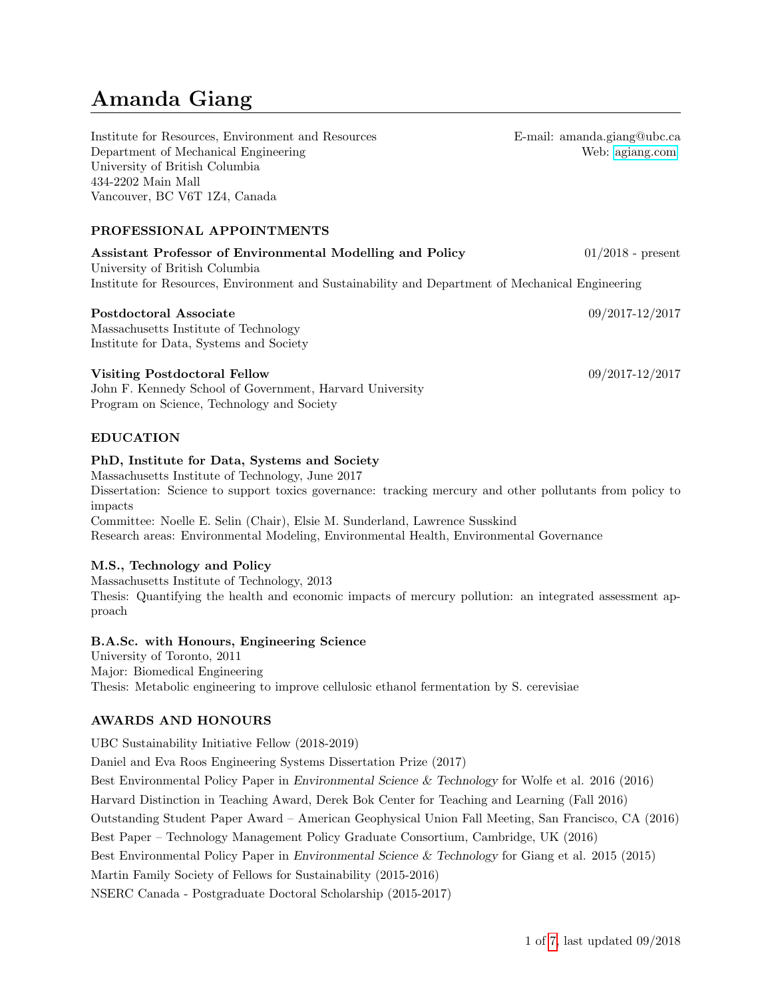# Amanda Giang

Institute for Resources, Environment and Resources Department of Mechanical Engineering University of British Columbia 434-2202 Main Mall Vancouver, BC V6T 1Z4, Canada

PROFESSIONAL APPOINTMENTS

Assistant Professor of Environmental Modelling and Policy 01/2018 - present University of British Columbia Institute for Resources, Environment and Sustainability and Department of Mechanical Engineering

### Postdoctoral Associate 09/2017-12/2017

Massachusetts Institute of Technology Institute for Data, Systems and Society

### Visiting Postdoctoral Fellow 09/2017-12/2017

John F. Kennedy School of Government, Harvard University Program on Science, Technology and Society

## EDUCATION

## PhD, Institute for Data, Systems and Society

Massachusetts Institute of Technology, June 2017 Dissertation: Science to support toxics governance: tracking mercury and other pollutants from policy to impacts Committee: Noelle E. Selin (Chair), Elsie M. Sunderland, Lawrence Susskind Research areas: Environmental Modeling, Environmental Health, Environmental Governance

## M.S., Technology and Policy

Massachusetts Institute of Technology, 2013 Thesis: Quantifying the health and economic impacts of mercury pollution: an integrated assessment approach

## B.A.Sc. with Honours, Engineering Science

University of Toronto, 2011 Major: Biomedical Engineering Thesis: Metabolic engineering to improve cellulosic ethanol fermentation by S. cerevisiae

## AWARDS AND HONOURS

UBC Sustainability Initiative Fellow (2018-2019) Daniel and Eva Roos Engineering Systems Dissertation Prize (2017) Best Environmental Policy Paper in Environmental Science & Technology for Wolfe et al. 2016 (2016) Harvard Distinction in Teaching Award, Derek Bok Center for Teaching and Learning (Fall 2016) Outstanding Student Paper Award – American Geophysical Union Fall Meeting, San Francisco, CA (2016) Best Paper – Technology Management Policy Graduate Consortium, Cambridge, UK (2016) Best Environmental Policy Paper in Environmental Science & Technology for Giang et al. 2015 (2015) Martin Family Society of Fellows for Sustainability (2015-2016) NSERC Canada - Postgraduate Doctoral Scholarship (2015-2017)

E-mail: amanda.giang@ubc.ca Web: [agiang.com](http://www.agiang.com)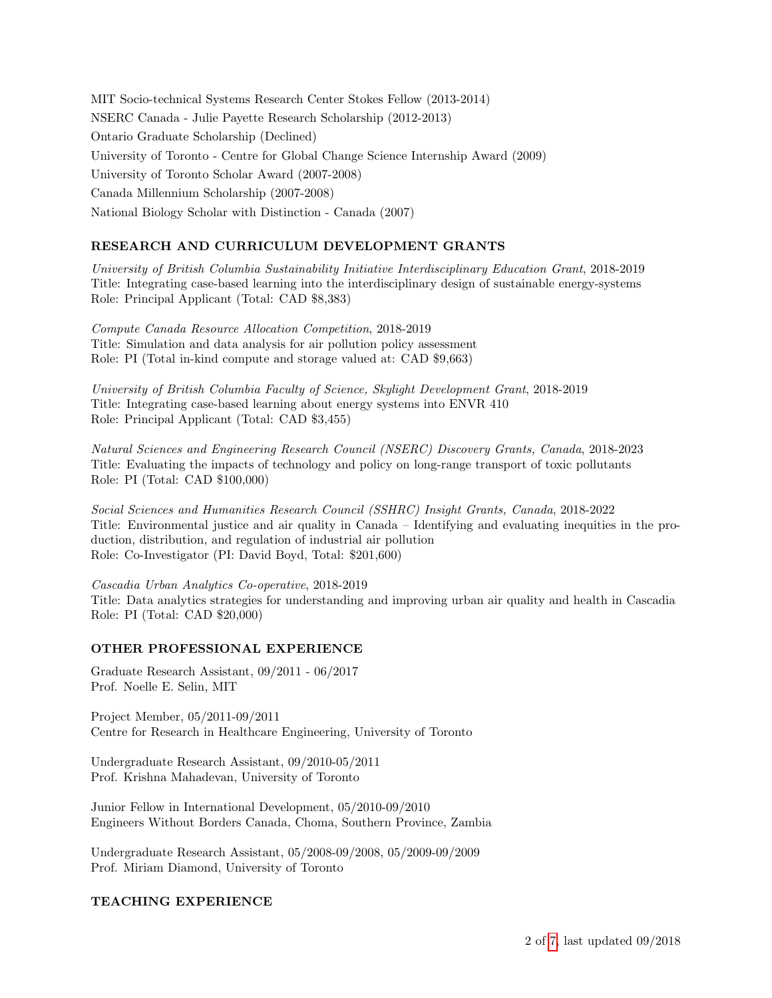MIT Socio-technical Systems Research Center Stokes Fellow (2013-2014) NSERC Canada - Julie Payette Research Scholarship (2012-2013) Ontario Graduate Scholarship (Declined) University of Toronto - Centre for Global Change Science Internship Award (2009) University of Toronto Scholar Award (2007-2008) Canada Millennium Scholarship (2007-2008) National Biology Scholar with Distinction - Canada (2007)

## RESEARCH AND CURRICULUM DEVELOPMENT GRANTS

University of British Columbia Sustainability Initiative Interdisciplinary Education Grant, 2018-2019 Title: Integrating case-based learning into the interdisciplinary design of sustainable energy-systems Role: Principal Applicant (Total: CAD \$8,383)

Compute Canada Resource Allocation Competition, 2018-2019 Title: Simulation and data analysis for air pollution policy assessment Role: PI (Total in-kind compute and storage valued at: CAD \$9,663)

University of British Columbia Faculty of Science, Skylight Development Grant, 2018-2019 Title: Integrating case-based learning about energy systems into ENVR 410 Role: Principal Applicant (Total: CAD \$3,455)

Natural Sciences and Engineering Research Council (NSERC) Discovery Grants, Canada, 2018-2023 Title: Evaluating the impacts of technology and policy on long-range transport of toxic pollutants Role: PI (Total: CAD \$100,000)

Social Sciences and Humanities Research Council (SSHRC) Insight Grants, Canada, 2018-2022 Title: Environmental justice and air quality in Canada – Identifying and evaluating inequities in the production, distribution, and regulation of industrial air pollution Role: Co-Investigator (PI: David Boyd, Total: \$201,600)

Cascadia Urban Analytics Co-operative, 2018-2019 Title: Data analytics strategies for understanding and improving urban air quality and health in Cascadia Role: PI (Total: CAD \$20,000)

#### OTHER PROFESSIONAL EXPERIENCE

Graduate Research Assistant, 09/2011 - 06/2017 Prof. Noelle E. Selin, MIT

Project Member, 05/2011-09/2011 Centre for Research in Healthcare Engineering, University of Toronto

Undergraduate Research Assistant, 09/2010-05/2011 Prof. Krishna Mahadevan, University of Toronto

Junior Fellow in International Development, 05/2010-09/2010 Engineers Without Borders Canada, Choma, Southern Province, Zambia

Undergraduate Research Assistant, 05/2008-09/2008, 05/2009-09/2009 Prof. Miriam Diamond, University of Toronto

## TEACHING EXPERIENCE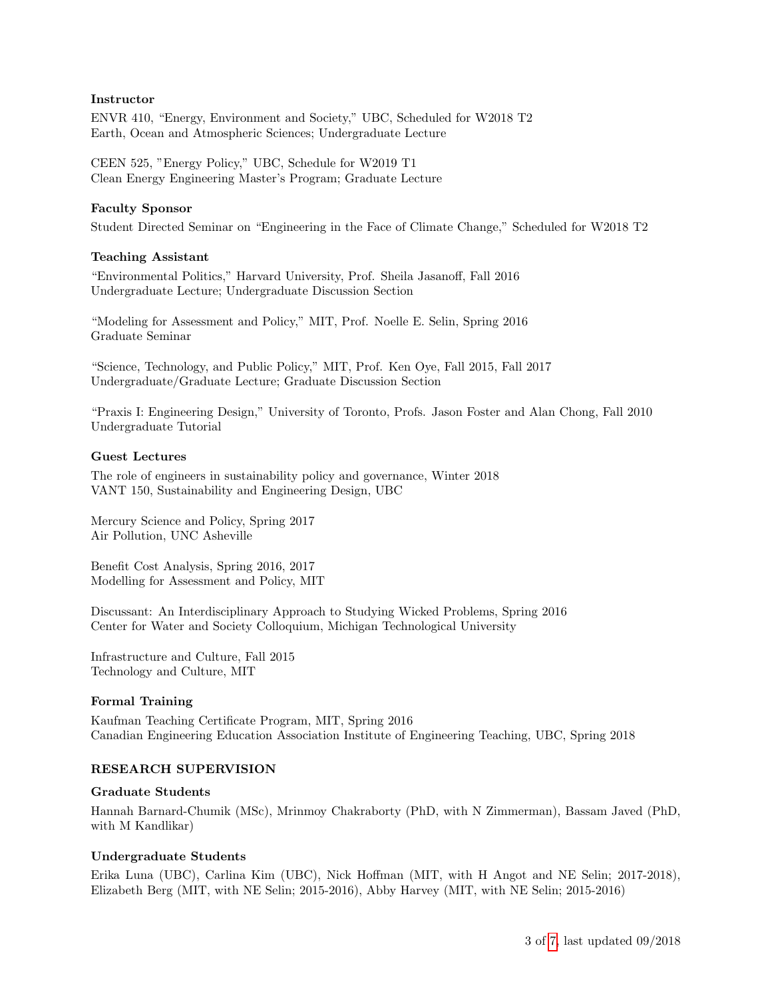### Instructor

ENVR 410, "Energy, Environment and Society," UBC, Scheduled for W2018 T2 Earth, Ocean and Atmospheric Sciences; Undergraduate Lecture

CEEN 525, "Energy Policy," UBC, Schedule for W2019 T1 Clean Energy Engineering Master's Program; Graduate Lecture

#### Faculty Sponsor

Student Directed Seminar on "Engineering in the Face of Climate Change," Scheduled for W2018 T2

### Teaching Assistant

"Environmental Politics," Harvard University, Prof. Sheila Jasanoff, Fall 2016 Undergraduate Lecture; Undergraduate Discussion Section

"Modeling for Assessment and Policy," MIT, Prof. Noelle E. Selin, Spring 2016 Graduate Seminar

"Science, Technology, and Public Policy," MIT, Prof. Ken Oye, Fall 2015, Fall 2017 Undergraduate/Graduate Lecture; Graduate Discussion Section

"Praxis I: Engineering Design," University of Toronto, Profs. Jason Foster and Alan Chong, Fall 2010 Undergraduate Tutorial

#### Guest Lectures

The role of engineers in sustainability policy and governance, Winter 2018 VANT 150, Sustainability and Engineering Design, UBC

Mercury Science and Policy, Spring 2017 Air Pollution, UNC Asheville

Benefit Cost Analysis, Spring 2016, 2017 Modelling for Assessment and Policy, MIT

Discussant: An Interdisciplinary Approach to Studying Wicked Problems, Spring 2016 Center for Water and Society Colloquium, Michigan Technological University

Infrastructure and Culture, Fall 2015 Technology and Culture, MIT

#### Formal Training

Kaufman Teaching Certificate Program, MIT, Spring 2016 Canadian Engineering Education Association Institute of Engineering Teaching, UBC, Spring 2018

#### RESEARCH SUPERVISION

#### Graduate Students

Hannah Barnard-Chumik (MSc), Mrinmoy Chakraborty (PhD, with N Zimmerman), Bassam Javed (PhD, with M Kandlikar)

#### Undergraduate Students

Erika Luna (UBC), Carlina Kim (UBC), Nick Hoffman (MIT, with H Angot and NE Selin; 2017-2018), Elizabeth Berg (MIT, with NE Selin; 2015-2016), Abby Harvey (MIT, with NE Selin; 2015-2016)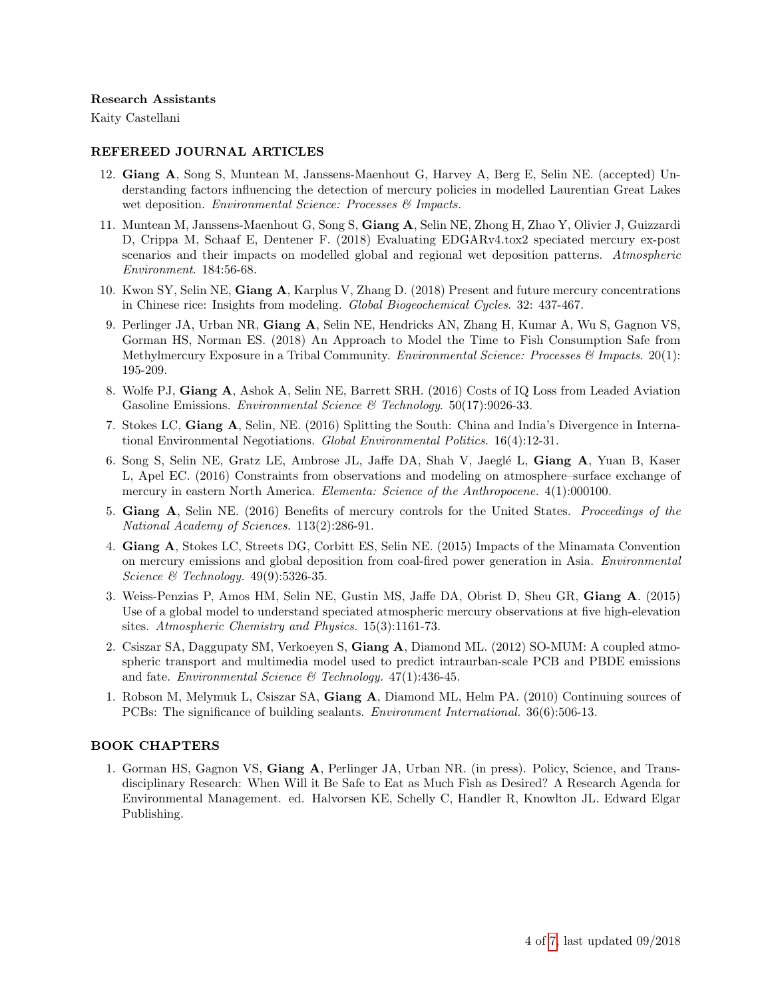#### Research Assistants

Kaity Castellani

#### REFEREED JOURNAL ARTICLES

- 12. Giang A, Song S, Muntean M, Janssens-Maenhout G, Harvey A, Berg E, Selin NE. (accepted) Understanding factors influencing the detection of mercury policies in modelled Laurentian Great Lakes wet deposition. Environmental Science: Processes & Impacts.
- 11. Muntean M, Janssens-Maenhout G, Song S, Giang A, Selin NE, Zhong H, Zhao Y, Olivier J, Guizzardi D, Crippa M, Schaaf E, Dentener F. (2018) Evaluating EDGARv4.tox2 speciated mercury ex-post scenarios and their impacts on modelled global and regional wet deposition patterns. Atmospheric Environment. 184:56-68.
- 10. Kwon SY, Selin NE, Giang A, Karplus V, Zhang D. (2018) Present and future mercury concentrations in Chinese rice: Insights from modeling. Global Biogeochemical Cycles. 32: 437-467.
- 9. Perlinger JA, Urban NR, Giang A, Selin NE, Hendricks AN, Zhang H, Kumar A, Wu S, Gagnon VS, Gorman HS, Norman ES. (2018) An Approach to Model the Time to Fish Consumption Safe from Methylmercury Exposure in a Tribal Community. Environmental Science: Processes & Impacts. 20(1): 195-209.
- 8. Wolfe PJ, Giang A, Ashok A, Selin NE, Barrett SRH. (2016) Costs of IQ Loss from Leaded Aviation Gasoline Emissions. *Environmental Science* & Technology. 50(17):9026-33.
- 7. Stokes LC, Giang A, Selin, NE. (2016) Splitting the South: China and India's Divergence in International Environmental Negotiations. Global Environmental Politics. 16(4):12-31.
- 6. Song S, Selin NE, Gratz LE, Ambrose JL, Jaffe DA, Shah V, Jaeglé L, Giang A, Yuan B, Kaser L, Apel EC. (2016) Constraints from observations and modeling on atmosphere–surface exchange of mercury in eastern North America. Elementa: Science of the Anthropocene. 4(1):000100.
- 5. Giang A, Selin NE. (2016) Benefits of mercury controls for the United States. Proceedings of the National Academy of Sciences. 113(2):286-91.
- 4. Giang A, Stokes LC, Streets DG, Corbitt ES, Selin NE. (2015) Impacts of the Minamata Convention on mercury emissions and global deposition from coal-fired power generation in Asia. Environmental Science & Technology. 49(9):5326-35.
- 3. Weiss-Penzias P, Amos HM, Selin NE, Gustin MS, Jaffe DA, Obrist D, Sheu GR, Giang A. (2015) Use of a global model to understand speciated atmospheric mercury observations at five high-elevation sites. Atmospheric Chemistry and Physics. 15(3):1161-73.
- 2. Csiszar SA, Daggupaty SM, Verkoeyen S, Giang A, Diamond ML. (2012) SO-MUM: A coupled atmospheric transport and multimedia model used to predict intraurban-scale PCB and PBDE emissions and fate. Environmental Science & Technology.  $47(1)$ : 436-45.
- 1. Robson M, Melymuk L, Csiszar SA, Giang A, Diamond ML, Helm PA. (2010) Continuing sources of PCBs: The significance of building sealants. Environment International. 36(6):506-13.

#### BOOK CHAPTERS

1. Gorman HS, Gagnon VS, Giang A, Perlinger JA, Urban NR. (in press). Policy, Science, and Transdisciplinary Research: When Will it Be Safe to Eat as Much Fish as Desired? A Research Agenda for Environmental Management. ed. Halvorsen KE, Schelly C, Handler R, Knowlton JL. Edward Elgar Publishing.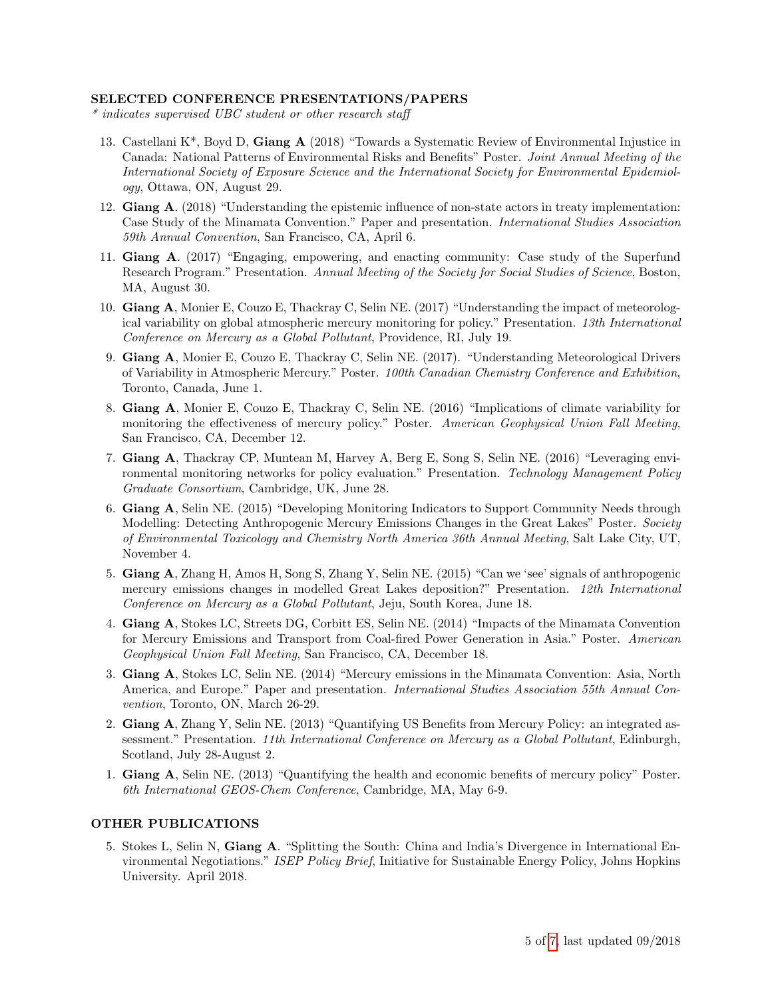#### SELECTED CONFERENCE PRESENTATIONS/PAPERS

\* indicates supervised UBC student or other research staff

- 13. Castellani K\*, Boyd D, Giang A (2018) "Towards a Systematic Review of Environmental Injustice in Canada: National Patterns of Environmental Risks and Benefits" Poster. Joint Annual Meeting of the International Society of Exposure Science and the International Society for Environmental Epidemiology, Ottawa, ON, August 29.
- 12. Giang A. (2018) "Understanding the epistemic influence of non-state actors in treaty implementation: Case Study of the Minamata Convention." Paper and presentation. International Studies Association 59th Annual Convention, San Francisco, CA, April 6.
- 11. Giang A. (2017) "Engaging, empowering, and enacting community: Case study of the Superfund Research Program." Presentation. Annual Meeting of the Society for Social Studies of Science, Boston, MA, August 30.
- 10. Giang A, Monier E, Couzo E, Thackray C, Selin NE. (2017) "Understanding the impact of meteorological variability on global atmospheric mercury monitoring for policy." Presentation. 13th International Conference on Mercury as a Global Pollutant, Providence, RI, July 19.
- 9. Giang A, Monier E, Couzo E, Thackray C, Selin NE. (2017). "Understanding Meteorological Drivers of Variability in Atmospheric Mercury." Poster. 100th Canadian Chemistry Conference and Exhibition, Toronto, Canada, June 1.
- 8. Giang A, Monier E, Couzo E, Thackray C, Selin NE. (2016) "Implications of climate variability for monitoring the effectiveness of mercury policy." Poster. American Geophysical Union Fall Meeting, San Francisco, CA, December 12.
- 7. Giang A, Thackray CP, Muntean M, Harvey A, Berg E, Song S, Selin NE. (2016) "Leveraging environmental monitoring networks for policy evaluation." Presentation. Technology Management Policy Graduate Consortium, Cambridge, UK, June 28.
- 6. Giang A, Selin NE. (2015) "Developing Monitoring Indicators to Support Community Needs through Modelling: Detecting Anthropogenic Mercury Emissions Changes in the Great Lakes" Poster. Society of Environmental Toxicology and Chemistry North America 36th Annual Meeting, Salt Lake City, UT, November 4.
- 5. Giang A, Zhang H, Amos H, Song S, Zhang Y, Selin NE. (2015) "Can we 'see' signals of anthropogenic mercury emissions changes in modelled Great Lakes deposition?" Presentation. 12th International Conference on Mercury as a Global Pollutant, Jeju, South Korea, June 18.
- 4. Giang A, Stokes LC, Streets DG, Corbitt ES, Selin NE. (2014) "Impacts of the Minamata Convention for Mercury Emissions and Transport from Coal-fired Power Generation in Asia." Poster. American Geophysical Union Fall Meeting, San Francisco, CA, December 18.
- 3. Giang A, Stokes LC, Selin NE. (2014) "Mercury emissions in the Minamata Convention: Asia, North America, and Europe." Paper and presentation. International Studies Association 55th Annual Convention, Toronto, ON, March 26-29.
- 2. Giang A, Zhang Y, Selin NE. (2013) "Quantifying US Benefits from Mercury Policy: an integrated assessment." Presentation. 11th International Conference on Mercury as a Global Pollutant, Edinburgh, Scotland, July 28-August 2.
- 1. Giang A, Selin NE. (2013) "Quantifying the health and economic benefits of mercury policy" Poster. 6th International GEOS-Chem Conference, Cambridge, MA, May 6-9.

#### OTHER PUBLICATIONS

5. Stokes L, Selin N, Giang A. "Splitting the South: China and India's Divergence in International Environmental Negotiations." ISEP Policy Brief, Initiative for Sustainable Energy Policy, Johns Hopkins University. April 2018.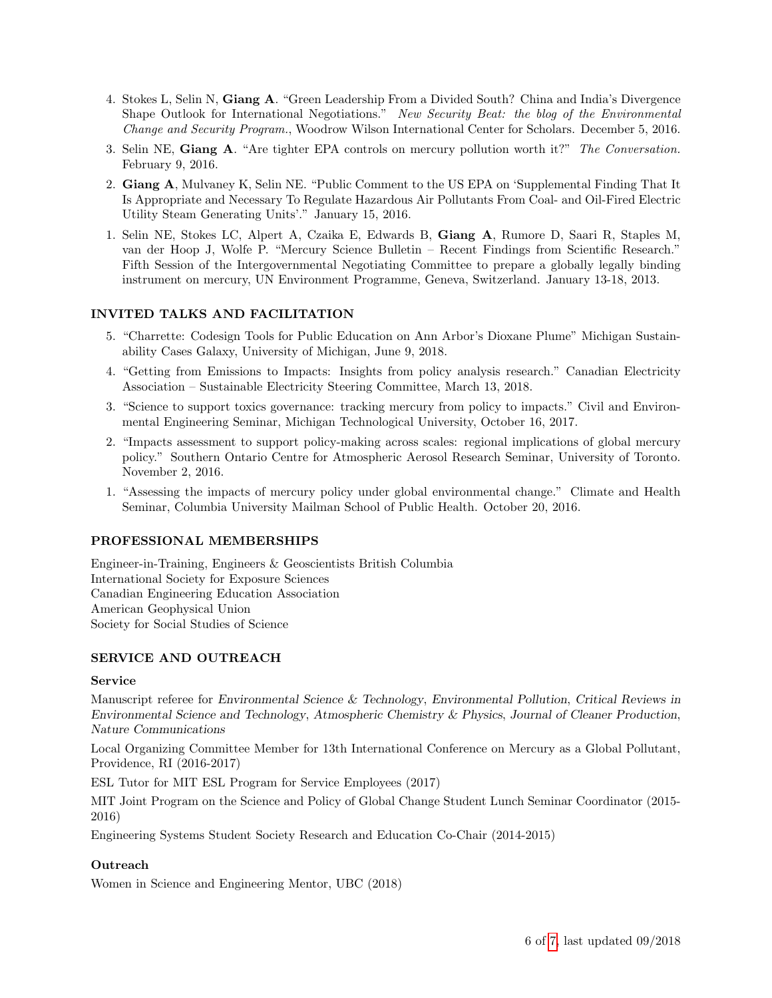- 4. Stokes L, Selin N, Giang A. "Green Leadership From a Divided South? China and India's Divergence Shape Outlook for International Negotiations." New Security Beat: the blog of the Environmental Change and Security Program., Woodrow Wilson International Center for Scholars. December 5, 2016.
- 3. Selin NE, Giang A. "Are tighter EPA controls on mercury pollution worth it?" The Conversation. February 9, 2016.
- 2. Giang A, Mulvaney K, Selin NE. "Public Comment to the US EPA on 'Supplemental Finding That It Is Appropriate and Necessary To Regulate Hazardous Air Pollutants From Coal- and Oil-Fired Electric Utility Steam Generating Units'." January 15, 2016.
- 1. Selin NE, Stokes LC, Alpert A, Czaika E, Edwards B, Giang A, Rumore D, Saari R, Staples M, van der Hoop J, Wolfe P. "Mercury Science Bulletin – Recent Findings from Scientific Research." Fifth Session of the Intergovernmental Negotiating Committee to prepare a globally legally binding instrument on mercury, UN Environment Programme, Geneva, Switzerland. January 13-18, 2013.

## INVITED TALKS AND FACILITATION

- 5. "Charrette: Codesign Tools for Public Education on Ann Arbor's Dioxane Plume" Michigan Sustainability Cases Galaxy, University of Michigan, June 9, 2018.
- 4. "Getting from Emissions to Impacts: Insights from policy analysis research." Canadian Electricity Association – Sustainable Electricity Steering Committee, March 13, 2018.
- 3. "Science to support toxics governance: tracking mercury from policy to impacts." Civil and Environmental Engineering Seminar, Michigan Technological University, October 16, 2017.
- 2. "Impacts assessment to support policy-making across scales: regional implications of global mercury policy." Southern Ontario Centre for Atmospheric Aerosol Research Seminar, University of Toronto. November 2, 2016.
- 1. "Assessing the impacts of mercury policy under global environmental change." Climate and Health Seminar, Columbia University Mailman School of Public Health. October 20, 2016.

#### PROFESSIONAL MEMBERSHIPS

Engineer-in-Training, Engineers & Geoscientists British Columbia International Society for Exposure Sciences Canadian Engineering Education Association American Geophysical Union Society for Social Studies of Science

## SERVICE AND OUTREACH

#### Service

Manuscript referee for Environmental Science & Technology, Environmental Pollution, Critical Reviews in Environmental Science and Technology, Atmospheric Chemistry & Physics, Journal of Cleaner Production, Nature Communications

Local Organizing Committee Member for 13th International Conference on Mercury as a Global Pollutant, Providence, RI (2016-2017)

ESL Tutor for MIT ESL Program for Service Employees (2017)

MIT Joint Program on the Science and Policy of Global Change Student Lunch Seminar Coordinator (2015- 2016)

Engineering Systems Student Society Research and Education Co-Chair (2014-2015)

#### **Outreach**

Women in Science and Engineering Mentor, UBC (2018)